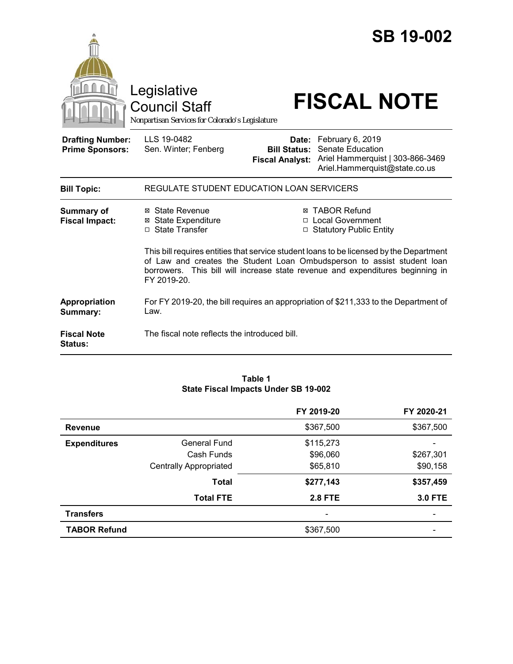

Council Staff

# Legislative<br>
Council Staff **FISCAL NOTE**

*Nonpartisan Services for Colorado's Legislature*

| <b>Drafting Number:</b><br><b>Prime Sponsors:</b> | LLS 19-0482<br>Sen. Winter; Fenberg                                       | <b>Bill Status:</b> | Date: February 6, 2019<br><b>Senate Education</b><br>Fiscal Analyst: Ariel Hammerquist   303-866-3469<br>Ariel.Hammerquist@state.co.us                                                                                                                                                                                           |
|---------------------------------------------------|---------------------------------------------------------------------------|---------------------|----------------------------------------------------------------------------------------------------------------------------------------------------------------------------------------------------------------------------------------------------------------------------------------------------------------------------------|
| <b>Bill Topic:</b>                                | REGULATE STUDENT EDUCATION LOAN SERVICERS                                 |                     |                                                                                                                                                                                                                                                                                                                                  |
| Summary of<br><b>Fiscal Impact:</b>               | ⊠ State Revenue<br>⊠ State Expenditure<br>□ State Transfer<br>FY 2019-20. |                     | <b>⊠ TABOR Refund</b><br>□ Local Government<br>□ Statutory Public Entity<br>This bill requires entities that service student loans to be licensed by the Department<br>of Law and creates the Student Loan Ombudsperson to assist student loan<br>borrowers. This bill will increase state revenue and expenditures beginning in |
| Appropriation<br>Summary:                         | Law.                                                                      |                     | For FY 2019-20, the bill requires an appropriation of \$211,333 to the Department of                                                                                                                                                                                                                                             |
| Fiscal Note<br><b>Status:</b>                     | The fiscal note reflects the introduced bill.                             |                     |                                                                                                                                                                                                                                                                                                                                  |

#### **Table 1 State Fiscal Impacts Under SB 19-002**

|                     |                               | FY 2019-20     | FY 2020-21     |
|---------------------|-------------------------------|----------------|----------------|
| <b>Revenue</b>      |                               | \$367,500      | \$367,500      |
| <b>Expenditures</b> | <b>General Fund</b>           | \$115,273      |                |
|                     | Cash Funds                    | \$96,060       | \$267,301      |
|                     | <b>Centrally Appropriated</b> | \$65,810       | \$90,158       |
|                     | <b>Total</b>                  | \$277,143      | \$357,459      |
|                     | <b>Total FTE</b>              | <b>2.8 FTE</b> | <b>3.0 FTE</b> |
| <b>Transfers</b>    |                               |                |                |
| <b>TABOR Refund</b> |                               | \$367,500      |                |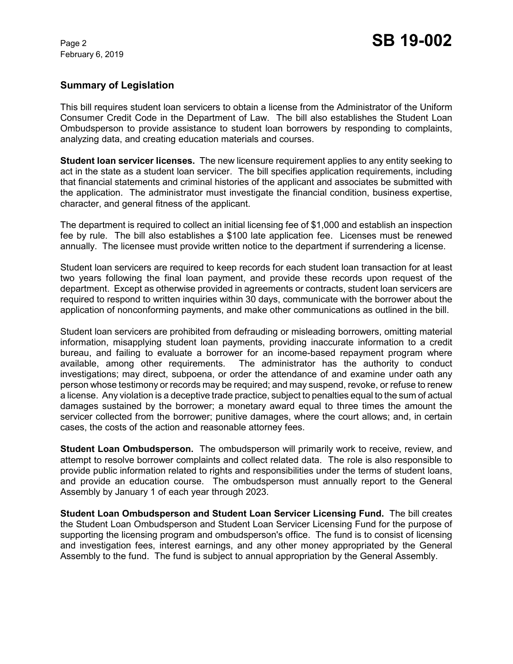February 6, 2019

# **Summary of Legislation**

This bill requires student loan servicers to obtain a license from the Administrator of the Uniform Consumer Credit Code in the Department of Law. The bill also establishes the Student Loan Ombudsperson to provide assistance to student loan borrowers by responding to complaints, analyzing data, and creating education materials and courses.

**Student loan servicer licenses.** The new licensure requirement applies to any entity seeking to act in the state as a student loan servicer. The bill specifies application requirements, including that financial statements and criminal histories of the applicant and associates be submitted with the application. The administrator must investigate the financial condition, business expertise, character, and general fitness of the applicant.

The department is required to collect an initial licensing fee of \$1,000 and establish an inspection fee by rule. The bill also establishes a \$100 late application fee. Licenses must be renewed annually. The licensee must provide written notice to the department if surrendering a license.

Student loan servicers are required to keep records for each student loan transaction for at least two years following the final loan payment, and provide these records upon request of the department. Except as otherwise provided in agreements or contracts, student loan servicers are required to respond to written inquiries within 30 days, communicate with the borrower about the application of nonconforming payments, and make other communications as outlined in the bill.

Student loan servicers are prohibited from defrauding or misleading borrowers, omitting material information, misapplying student loan payments, providing inaccurate information to a credit bureau, and failing to evaluate a borrower for an income-based repayment program where available, among other requirements. The administrator has the authority to conduct investigations; may direct, subpoena, or order the attendance of and examine under oath any person whose testimony or records may be required; and may suspend, revoke, or refuse to renew a license. Any violation is a deceptive trade practice, subject to penalties equal to the sum of actual damages sustained by the borrower; a monetary award equal to three times the amount the servicer collected from the borrower; punitive damages, where the court allows; and, in certain cases, the costs of the action and reasonable attorney fees.

**Student Loan Ombudsperson.** The ombudsperson will primarily work to receive, review, and attempt to resolve borrower complaints and collect related data. The role is also responsible to provide public information related to rights and responsibilities under the terms of student loans, and provide an education course. The ombudsperson must annually report to the General Assembly by January 1 of each year through 2023.

**Student Loan Ombudsperson and Student Loan Servicer Licensing Fund.** The bill creates the Student Loan Ombudsperson and Student Loan Servicer Licensing Fund for the purpose of supporting the licensing program and ombudsperson's office. The fund is to consist of licensing and investigation fees, interest earnings, and any other money appropriated by the General Assembly to the fund. The fund is subject to annual appropriation by the General Assembly.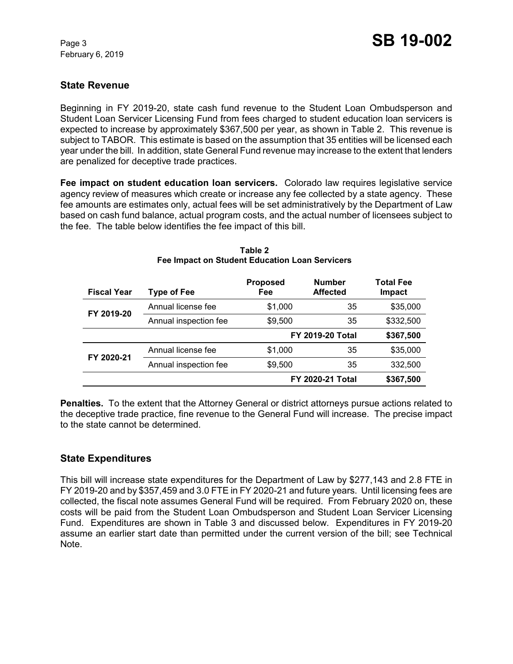February 6, 2019

# **State Revenue**

Beginning in FY 2019-20, state cash fund revenue to the Student Loan Ombudsperson and Student Loan Servicer Licensing Fund from fees charged to student education loan servicers is expected to increase by approximately \$367,500 per year, as shown in Table 2. This revenue is subject to TABOR. This estimate is based on the assumption that 35 entities will be licensed each year under the bill. In addition, state General Fund revenue may increase to the extent that lenders are penalized for deceptive trade practices.

**Fee impact on student education loan servicers.** Colorado law requires legislative service agency review of measures which create or increase any fee collected by a state agency. These fee amounts are estimates only, actual fees will be set administratively by the Department of Law based on cash fund balance, actual program costs, and the actual number of licensees subject to the fee. The table below identifies the fee impact of this bill.

| <b>Fiscal Year</b> | <b>Type of Fee</b>    | <b>Proposed</b><br>Fee  | <b>Number</b><br><b>Affected</b> | <b>Total Fee</b><br>Impact |
|--------------------|-----------------------|-------------------------|----------------------------------|----------------------------|
| FY 2019-20         | Annual license fee    | \$1,000                 | 35                               | \$35,000                   |
|                    | Annual inspection fee | \$9,500                 | 35                               | \$332,500                  |
|                    |                       | <b>FY 2019-20 Total</b> |                                  | \$367,500                  |
| FY 2020-21         | Annual license fee    | \$1,000                 | 35                               | \$35,000                   |
|                    | Annual inspection fee | \$9,500                 | 35                               | 332,500                    |
|                    |                       | <b>FY 2020-21 Total</b> |                                  | \$367,500                  |

#### **Table 2 Fee Impact on Student Education Loan Servicers**

**Penalties.** To the extent that the Attorney General or district attorneys pursue actions related to the deceptive trade practice, fine revenue to the General Fund will increase. The precise impact to the state cannot be determined.

# **State Expenditures**

This bill will increase state expenditures for the Department of Law by \$277,143 and 2.8 FTE in FY 2019-20 and by \$357,459 and 3.0 FTE in FY 2020-21 and future years. Until licensing fees are collected, the fiscal note assumes General Fund will be required. From February 2020 on, these costs will be paid from the Student Loan Ombudsperson and Student Loan Servicer Licensing Fund. Expenditures are shown in Table 3 and discussed below. Expenditures in FY 2019-20 assume an earlier start date than permitted under the current version of the bill; see Technical Note.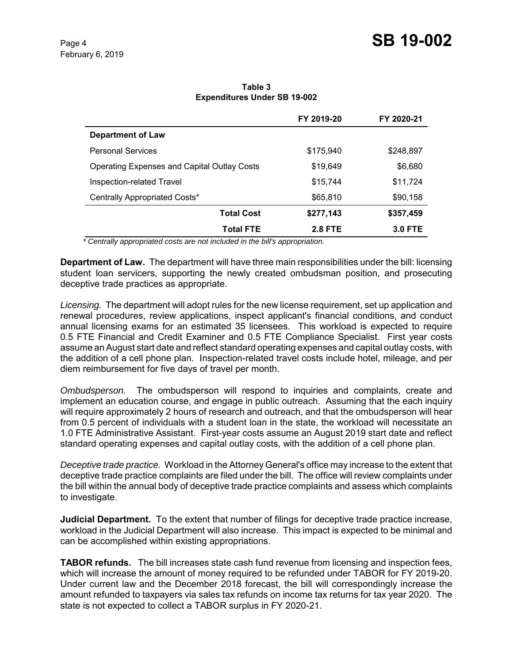|                                                    | FY 2019-20     | FY 2020-21     |
|----------------------------------------------------|----------------|----------------|
| <b>Department of Law</b>                           |                |                |
| <b>Personal Services</b>                           | \$175,940      | \$248,897      |
| <b>Operating Expenses and Capital Outlay Costs</b> | \$19,649       | \$6,680        |
| Inspection-related Travel                          | \$15,744       | \$11,724       |
| Centrally Appropriated Costs*                      | \$65,810       | \$90,158       |
| <b>Total Cost</b>                                  | \$277,143      | \$357,459      |
| <b>Total FTE</b>                                   | <b>2.8 FTE</b> | <b>3.0 FTE</b> |

**Table 3 Expenditures Under SB 19-002**

 *\* Centrally appropriated costs are not included in the bill's appropriation.*

**Department of Law.** The department will have three main responsibilities under the bill: licensing student loan servicers, supporting the newly created ombudsman position, and prosecuting deceptive trade practices as appropriate.

*Licensing.* The department will adopt rules for the new license requirement, set up application and renewal procedures, review applications, inspect applicant's financial conditions, and conduct annual licensing exams for an estimated 35 licensees. This workload is expected to require 0.5 FTE Financial and Credit Examiner and 0.5 FTE Compliance Specialist. First year costs assume an August start date and reflect standard operating expenses and capital outlay costs, with the addition of a cell phone plan. Inspection-related travel costs include hotel, mileage, and per diem reimbursement for five days of travel per month.

*Ombudsperson.* The ombudsperson will respond to inquiries and complaints, create and implement an education course, and engage in public outreach. Assuming that the each inquiry will require approximately 2 hours of research and outreach, and that the ombudsperson will hear from 0.5 percent of individuals with a student loan in the state, the workload will necessitate an 1.0 FTE Administrative Assistant. First-year costs assume an August 2019 start date and reflect standard operating expenses and capital outlay costs, with the addition of a cell phone plan.

*Deceptive trade practice.* Workload in the Attorney General's office may increase to the extent that deceptive trade practice complaints are filed under the bill. The office will review complaints under the bill within the annual body of deceptive trade practice complaints and assess which complaints to investigate.

**Judicial Department.** To the extent that number of filings for deceptive trade practice increase, workload in the Judicial Department will also increase. This impact is expected to be minimal and can be accomplished within existing appropriations.

**TABOR refunds.** The bill increases state cash fund revenue from licensing and inspection fees, which will increase the amount of money required to be refunded under TABOR for FY 2019-20. Under current law and the December 2018 forecast, the bill will correspondingly increase the amount refunded to taxpayers via sales tax refunds on income tax returns for tax year 2020. The state is not expected to collect a TABOR surplus in FY 2020-21.